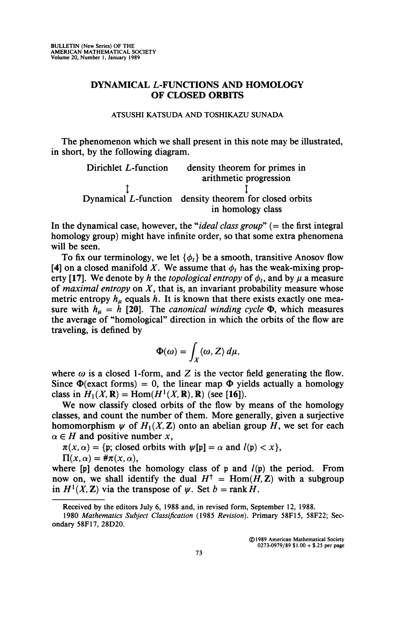## DYNAMICAL *L*-FUNCTIONS AND HOMOLOGY OF CLOSED ORBITS

## **ATSUSHI KATSUDA AND TOSHIKAZU SUNADA**

The phenomenon which we shall present in this note may be illustrated, in short, by the following diagram.

> Dirichlet L-function density theorem for primes in arithmetic progression I<br>I function density theorem f Dynamical L-function density theorem for closed orbits in homology class

In the dynamical case, however, the "*ideal class group*" (= the first integral homology group) might have infinite order, so that some extra phenomena will be seen.

To fix our terminology, we let  $\{\phi_t\}$  be a smooth, transitive Anosov flow [4] on a closed manifold X. We assume that  $\phi_t$  has the weak-mixing property [17]. We denote by *h* the *topological entropy* of  $\phi_t$ , and by  $\mu$  a measure of *maximal entropy* on *X,* that is, an invariant probability measure whose metric entropy  $h_u$  equals h. It is known that there exists exactly one measure with  $h_{\mu} = h$  [20]. The *canonical winding cycle*  $\Phi$ , which measures the average of "homological" direction in which the orbits of the flow are traveling, is defined by

$$
\Phi(\omega)=\int_X\langle\omega,Z\rangle\,d\mu,
$$

where  $\omega$  is a closed 1-form, and Z is the vector field generating the flow. Since  $\Phi$ (exact forms) = 0, the linear map  $\Phi$  yields actually a homology class in  $H_1(X, \mathbf{R}) = \text{Hom}(H^1(X, \mathbf{R}), \mathbf{R})$  (see [16]).

We now classify closed orbits of the flow by means of the homology classes, and count the number of them. More generally, given a surjective homomorphism  $\psi$  of  $H_1(X, \mathbb{Z})$  onto an abelian group H, we set for each  $\alpha \in H$  and positive number *x*,

 $\pi(x, \alpha) = \{p; \text{ closed orbits with } \psi[p] = \alpha \text{ and } l(p) < x\},\$ 

$$
\Pi(x,\alpha)=\#\pi(x,\alpha),
$$

where  $[p]$  denotes the homology class of p and  $l(p)$  the period. From now on, we shall identify the dual  $H^{\dagger} = \text{Hom}(H, Z)$  with a subgroup in  $H^1(X, \mathbb{Z})$  via the transpose of  $\psi$ . Set  $b = \text{rank } H$ .

**©1989 American Mathematical Society 0273-0979/89 \$1.00 + \$.25 per page** 

**Received by the editors July 6, 1988 and, in revised form, September 12, 1988.** 

**<sup>1980</sup>** *Mathematics Subject Classification* **(1985** *Revision).* **Primary 58F15, 58F22; Secondary 58F17, 28D20.**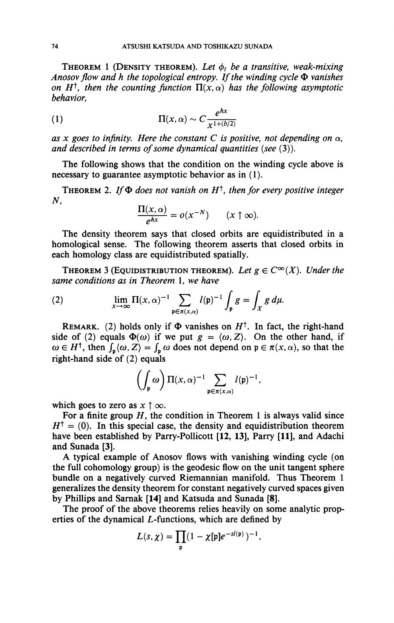THEOREM 1 (DENSITY THEOREM). Let  $\phi_t$  be a transitive, weak-mixing *Anosov flow and h the topological entropy. If the winding cycle*  $\Phi$  *vanishes on H<sup>t</sup>, then the counting function*  $\Pi(x, \alpha)$  has the following asymptotic *behavior,* 

(1) 
$$
\Pi(x, \alpha) \sim C \frac{e^{hx}}{x^{1 + (b/2)}}
$$

as x goes to infinity. Here the constant C is positive, not depending on  $\alpha$ , *and described in terms of some dynamical quantities {see* (3)).

The following shows that the condition on the winding cycle above is necessary to guarantee asymptotic behavior as in (1).

**THEOREM 2.** If  $\Phi$  does not vanish on  $H^{\dagger}$ , then for every positive integer *N,* 

$$
\frac{\Pi(x,\alpha)}{e^{hx}}=o(x^{-N})\qquad(x\uparrow\infty).
$$

The density theorem says that closed orbits are equidistributed in a homological sense. The following theorem asserts that closed orbits in each homology class are equidistributed spatially.

THEOREM 3 (EQUIDISTRIBUTION THEOREM). Let  $g \in C^{\infty}(X)$ . Under the *same conditions as in Theorem* 1, *we have* 

(2) 
$$
\lim_{x \to \infty} \Pi(x, \alpha)^{-1} \sum_{\mathfrak{p} \in \pi(x, \alpha)} l(\mathfrak{p})^{-1} \int_{\mathfrak{p}} g = \int_{X} g d\mu.
$$

REMARK. (2) holds only if  $\Phi$  vanishes on  $H^{\dagger}$ . In fact, the right-hand side of (2) equals  $\Phi(\omega)$  if we put  $g = \langle \omega, Z \rangle$ . On the other hand, if  $\omega \in H^{\dagger}$ , then  $\int_{p} \langle \omega, Z \rangle = \int_{p} \omega$  does not depend on  $p \in \pi(x, \alpha)$ , so that the right-hand side of (2) equals

$$
\left(\int_{\mathfrak{p}} \omega\right) \Pi(x, \alpha)^{-1} \sum_{\mathfrak{p} \in \pi(x, \alpha)} l(\mathfrak{p})^{-1},
$$
  
s  $x \uparrow \infty$ .

which goes to zero as  $x \uparrow \infty$ .

For a finite group  $H$ , the condition in Theorem 1 is always valid since  $H^{\dagger} = (0)$ . In this special case, the density and equidistribution theorem have been established by Parry-Pollicott [12, 13], Parry [11], and Adachi and Sunada [3].

A typical example of Anosov flows with vanishing winding cycle (on the full cohomology group) is the geodesic flow on the unit tangent sphere bundle on a negatively curved Riemannian manifold. Thus Theorem 1 generalizes the density theorem for constant negatively curved spaces given by Phillips and Sarnak [14] and Katsuda and Sunada [8].

The proof of the above theorems relies heavily on some analytic properties of the dynamical L-functions, which are defined by

$$
L(s,\chi)=\prod_{\mathfrak{p}}(1-\chi[\mathfrak{p}]e^{-sl(\mathfrak{p})})^{-1},
$$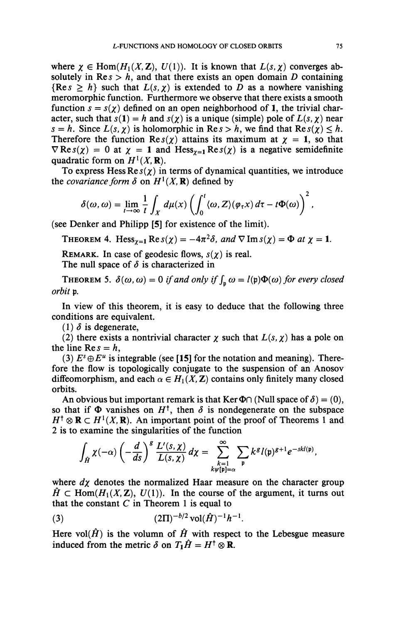where  $\chi \in \text{Hom}(H_1(X,\mathbb{Z}), U(1))$ . It is known that  $L(s, \chi)$  converges absolutely in  $\text{Re } s > h$ , and that there exists an open domain D containing  ${Res > h}$  such that  $L(s, \chi)$  is extended to *D* as a nowhere vanishing meromorphic function. Furthermore we observe that there exists a smooth function  $s = s(\gamma)$  defined on an open neighborhood of 1, the trivial character, such that  $s(1) = h$  and  $s(\chi)$  is a unique (simple) pole of  $L(s, \chi)$  near  $s = h$ . Since  $L(s, \chi)$  is holomorphic in  $\text{Re } s > h$ , we find that  $\text{Re } s(\chi) \leq h$ . Therefore the function  $\text{Re } s(\chi)$  attains its maximum at  $\chi = 1$ , so that  $\nabla$ Re $s(\chi) = 0$  at  $\chi = 1$  and Hess<sub> $\chi=1$ </sub>Re $s(\chi)$  is a negative semidefinite quadratic form on  $H^1(X, \mathbf{R})$ .

To express Hess  $\text{Res}(x)$  in terms of dynamical quantities, we introduce the *covariance form*  $\delta$  on  $H^1(X, \mathbf{R})$  defined by

$$
\delta(\omega,\omega)=\lim_{t\to\infty}\frac{1}{t}\int_X d\mu(x)\left(\int_0^t\langle\omega,Z\rangle(\varphi_\tau x)\,d\tau-t\Phi(\omega)\right)^2,
$$

(see Denker and Philipp [5] for existence of the limit).

THEOREM 4. Hess<sub> $x=1$ </sub> Re $s(\chi) = -4\pi^2\delta$ , and  $\nabla \text{Im } s(\chi) = \Phi$  at  $\chi = 1$ .

REMARK. In case of geodesic flows,  $s(\chi)$  is real. The null space of  $\delta$  is characterized in

**THEOREM 5.**  $\delta(\omega, \omega) = 0$  *if and only if*  $\int_{p} \omega = l(p)\Phi(\omega)$  *for every closed orbit p.* 

In view of this theorem, it is easy to deduce that the following three conditions are equivalent.

 $(1)$   $\delta$  is degenerate,

(2) there exists a nontrivial character  $\chi$  such that  $L(s, \chi)$  has a pole on the line  $\text{Re } s = h$ ,

(3)  $E^s \oplus E^u$  is integrable (see [15] for the notation and meaning). Therefore the flow is topologically conjugate to the suspension of an Anosov diffeomorphism, and each  $\alpha \in H_1(X, \mathbb{Z})$  contains only finitely many closed orbits.

An obvious but important remark is that Ker  $\Phi \cap$  (Null space of  $\delta$ ) = (0), so that if  $\Phi$  vanishes on  $H^{\dagger}$ , then  $\delta$  is nondegenerate on the subspace  $H^{\dagger} \otimes \mathbf{R} \subset H^1(X,\mathbf{R})$ . An important point of the proof of Theorems 1 and 2 is to examine the singularities of the function

$$
\int_{\hat{H}} \chi(-\alpha) \left(-\frac{d}{ds}\right)^g \frac{L'(s,\chi)}{L(s,\chi)} d\chi = \sum_{\substack{k=1 \ k \psi(\mathfrak{p})=\alpha}}^{\infty} \sum_{\mathfrak{p}} k^g l(\mathfrak{p})^{g+1} e^{-skl(\mathfrak{p})},
$$

where  $d\chi$  denotes the normalized Haar measure on the character group  $\hat{H} \subset \text{Hom}(H_1(X,\mathbb{Z}), U(1)).$  In the course of the argument, it turns out that the constant  $C$  in Theorem 1 is equal to

(3) 
$$
(2\Pi)^{-b/2} \operatorname{vol}(\hat{H})^{-1} h^{-1}.
$$

Here vol $(\hat{H})$  is the volumn of  $\hat{H}$  with respect to the Lebesgue measure induced from the metric  $\delta$  on  $T_1 \hat{H} = H^{\dagger} \otimes \mathbf{R}$ .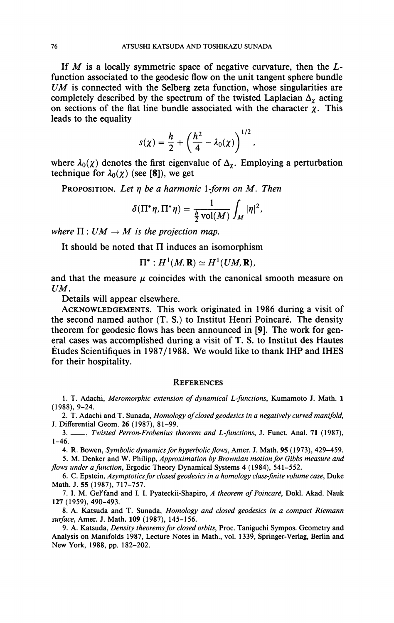If  $M$  is a locally symmetric space of negative curvature, then the  $L$ function associated to the geodesic flow on the unit tangent sphere bundle *UM* is connected with the Selberg zeta function, whose singularities are completely described by the spectrum of the twisted Laplacian  $\Delta_{\chi}$  acting on sections of the flat line bundle associated with the character  $\chi$ . This leads to the equality

$$
s(\chi) = \frac{h}{2} + \left(\frac{h^2}{4} - \lambda_0(\chi)\right)^{1/2},
$$

where  $\lambda_0(\chi)$  denotes the first eigenvalue of  $\Delta_{\chi}$ . Employing a perturbation technique for  $\lambda_0(\chi)$  (see [8]), we get

PROPOSITION. *Let rj be a harmonic l-form on M. Then* 

$$
\delta(\Pi^*\eta, \Pi^*\eta) = \frac{1}{\frac{h}{2}\operatorname{vol}(M)}\int_M |\eta|^2.
$$

where  $\Pi: UM \to M$  is the projection map.

*where* II : *UM —*• *M is the projection map.*  It should be noted that II induces an isomorphism

$$
\Pi^*: H^1(M,\mathbf{R}) \simeq H^1(UM,\mathbf{R}),
$$

and that the measure  $\mu$  coincides with the canonical smooth measure on *UM.* 

Details will appear elsewhere.

ACKNOWLEDGEMENTS. This work originated in 1986 during a visit of the second named author (T. S.) to Institut Henri Poincaré. The density theorem for geodesic flows has been announced in [9]. The work for general cases was accomplished during a visit of T. S. to Institut des Hautes Études Scientifiques in 1987/1988. We would like to thank IHP and IHES for their hospitality.

## **REFERENCES**

1. T. Adachi, *Meromorphic extension of dynamical L-functions,* Kumamoto J. Math. 1 (1988), 9-24.

2. T. Adachi and T. Sunada, *Homology of closed geodesies in a negatively curved manifold,*  J. Differential Geom. 26 (1987), 81-99.

3. , *Twisted Perron-Frobenius theorem and L-functions,* J. Funct. Anal. 71 (1987), 1-46.

4. R. Bowen, *Symbolic dynamics for hyperbolic flows,* Amer. J. Math. 95 (1973), 429-459.

5. M. Denker and W. Philipp, *Approximation by Brownian motion for Gibbs measure and flows under a function,* Ergodic Theory Dynamical Systems 4 (1984), 541-552.

6. C. Epstein, *Asymptotics for closed geodesies in a homology class-finite volume case,* Duke Math. J. 55 (1987), 717-757.

7. I. M. Gel'fand and I. I. Pyateckii-Shapiro, *A theorem of Poincaré,* Dokl. Akad. Nauk 127(1959), 490-493.

8. A. Katsuda and T. Sunada, *Homology and closed geodesies in a compact Riemann surface,* Amer. J. Math. **109** (1987), 145-156.

9. A. Katsuda, *Density theorems for closed orbits,* Proc. Taniguchi Sympos. Geometry and Analysis on Manifolds 1987, Lecture Notes in Math., vol. 1339, Springer-Verlag, Berlin and New York, 1988, pp. 182-202.